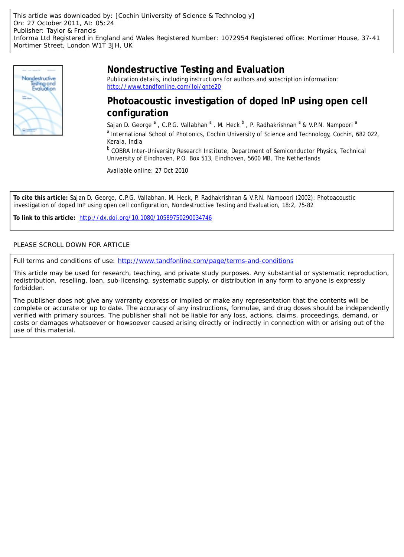This article was downloaded by: [Cochin University of Science & Technolog y] On: 27 October 2011, At: 05:24 Publisher: Taylor & Francis Informa Ltd Registered in England and Wales Registered Number: 1072954 Registered office: Mortimer House, 37-41 Mortimer Street, London W1T 3JH, UK



# **Nondestructive Testing and Evaluation**

Publication details, including instructions for authors and subscription information: <http://www.tandfonline.com/loi/gnte20>

# **Photoacoustic investigation of doped InP using open cell configuration**

Sajan D. George <sup>a</sup> , C.P.G. Vallabhan <sup>a</sup> , M. Heck <sup>b</sup> , P. Radhakrishnan <sup>a</sup> & V.P.N. Nampoori <sup>a</sup> <sup>a</sup> International School of Photonics, Cochin University of Science and Technology, Cochin, 682 022, Kerala, India

**b COBRA Inter-University Research Institute, Department of Semiconductor Physics, Technical** University of Eindhoven, P.O. Box 513, Eindhoven, 5600 MB, The Netherlands

Available online: 27 Oct 2010

**To cite this article:** Sajan D. George, C.P.G. Vallabhan, M. Heck, P. Radhakrishnan & V.P.N. Nampoori (2002): Photoacoustic investigation of doped InP using open cell configuration, Nondestructive Testing and Evaluation, 18:2, 75-82

**To link to this article:** <http://dx.doi.org/10.1080/10589750290034746>

# PLEASE SCROLL DOWN FOR ARTICLE

Full terms and conditions of use:<http://www.tandfonline.com/page/terms-and-conditions>

This article may be used for research, teaching, and private study purposes. Any substantial or systematic reproduction, redistribution, reselling, loan, sub-licensing, systematic supply, or distribution in any form to anyone is expressly forbidden.

The publisher does not give any warranty express or implied or make any representation that the contents will be complete or accurate or up to date. The accuracy of any instructions, formulae, and drug doses should be independently verified with primary sources. The publisher shall not be liable for any loss, actions, claims, proceedings, demand, or costs or damages whatsoever or howsoever caused arising directly or indirectly in connection with or arising out of the use of this material.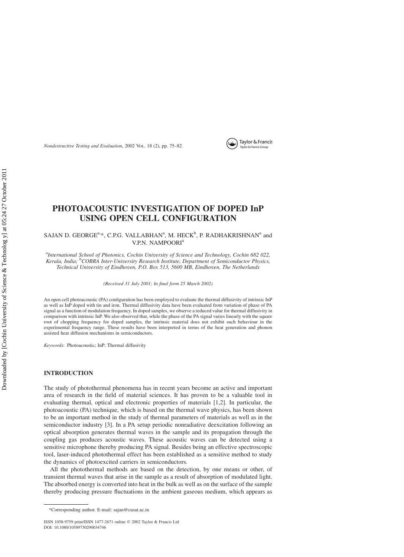Nondestructive Testing and Evaluation, 2002 Vol. 18 (2), pp. 75–82



# PHOTOACOUSTIC INVESTIGATION OF DOPED InP USING OPEN CELL CONFIGURATION

# SAJAN D. GEORGE<sup>a, \*</sup>, C.P.G. VALLABHAN<sup>a</sup>, M. HECK<sup>b</sup>, P. RADHAKRISHNAN<sup>a</sup> and V.P.N. NAMPOORI<sup>a</sup>

<sup>a</sup>International School of Photonics, Cochin University of Science and Technology, Cochin 682 022, Kerala, India; <sup>b</sup>COBRA Inter-University Research Institute, Department of Semiconductor Physics, Technical University of Eindhoven, P.O. Box 513, 5600 MB, Eindhoven, The Netherlands

(Received 31 July 2001; In final form 25 March 2002)

An open cell photoacoustic (PA) configuration has been employed to evaluate the thermal diffusivity of intrinsic InP as well as InP doped with tin and iron. Thermal diffusivity data have been evaluated from variation of phase of PA signal as a function of modulation frequency. In doped samples, we observe a reduced value for thermal diffusivity in comparison with intrinsic InP. We also observed that, while the phase of the PA signal varies linearly with the square root of chopping frequency for doped samples, the intrinsic material does not exhibit such behaviour in the experimental frequency range. These results have been interpreted in terms of the heat generation and phonon assisted heat diffusion mechanisms in semiconductors.

Keywords: Photoacoustic; InP; Thermal diffusivity

## INTRODUCTION

The study of photothermal phenomena has in recent years become an active and important area of research in the field of material sciences. It has proven to be a valuable tool in evaluating thermal, optical and electronic properties of materials [1,2]. In particular, the photoacoustic (PA) technique, which is based on the thermal wave physics, has been shown to be an important method in the study of thermal parameters of materials as well as in the semiconductor industry [3]. In a PA setup periodic nonradiative deexcitation following an optical absorption generates thermal waves in the sample and its propagation through the coupling gas produces acoustic waves. These acoustic waves can be detected using a sensitive microphone thereby producing PA signal. Besides being an effective spectroscopic tool, laser-induced photothermal effect has been established as a sensitive method to study the dynamics of photoexcited carriers in semiconductors.

All the photothermal methods are based on the detection, by one means or other, of transient thermal waves that arise in the sample as a result of absorption of modulated light. The absorbed energy is converted into heat in the bulk as well as on the surface of the sample thereby producing pressure fluctuations in the ambient gaseous medium, which appears as

<sup>\*</sup>Corresponding author. E-mail: sajan@cusat.ac.in

ISSN 1058-9759 print/ISSN 1477-2671 online q 2002 Taylor & Francis Ltd DOI: 10.1080/10589750290034746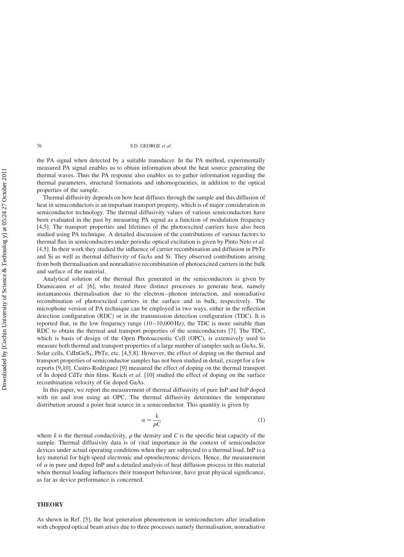#### 76 S.D. GEORGE et al.

the PA signal when detected by a suitable transducer. In the PA method, experimentally measured PA signal enables us to obtain information about the heat source generating the thermal waves. Thus the PA response also enables us to gather information regarding the thermal parameters, structural formations and inhomogeneities, in addition to the optical properties of the sample.

Thermal diffusivity depends on how heat diffuses through the sample and this diffusion of heat in semiconductors is an important transport property, which is of major consideration in semiconductor technology. The thermal diffusivity values of various semiconductors have been evaluated in the past by measuring PA signal as a function of modulation frequency [4,5]. The transport properties and lifetimes of the photoexcited carriers have also been studied using PA technique. A detailed discussion of the contributions of various factors to thermal flux in semiconductors under periodic optical excitation is given by Pinto Neto et al. [4,5]. In their work they studied the influence of carrier recombination and diffusion in PbTe and Si as well as thermal diffusivity of GaAs and Si. They observed contributions arising from both thermalisation and nonradiative recombination of photoexcited carriers in the bulk and surface of the material.

Analytical solution of the thermal flux generated in the semiconductors is given by Dramicanin *et al.* [6], who treated three distinct processes to generate heat, namely instantaneous thermalisation due to the electron–phonon interaction, and nonradiative recombination of photoexcited carriers in the surface and in bulk, respectively. The microphone version of PA technique can be employed in two ways, either in the reflection detection configuration (RDC) or in the transmission detection configuration (TDC). It is reported that, in the low frequency range (10–10,000 Hz), the TDC is more suitable than RDC to obtain the thermal and transport properties of the semiconductors [7]. The TDC, which is basis of design of the Open Photoacoustic Cell (OPC), is extensively used to measure both thermal and transport properties of a large number of samples such as GaAs, Si, Solar cells, CdInGeS<sub>4</sub>, PbTe, etc.  $[4,5,8]$ . However, the effect of doping on the thermal and transport properties of semiconductor samples has not been studied in detail, except for a few reports [9,10]. Castro-Rodriguez [9] measured the effect of doping on the thermal transport of In doped CdTe thin films. Reich et al.  $[10]$  studied the effect of doping on the surface recombination velocity of Ge doped GaAs.

In this paper, we report the measurement of thermal diffusivity of pure InP and InP doped with tin and iron using an OPC. The thermal diffusivity determines the temperature distribution around a point heat source in a semiconductor. This quantity is given by

$$
\alpha = \frac{k}{\rho C} \tag{1}
$$

where k is the thermal conductivity,  $\rho$  the density and C is the specific heat capacity of the sample. Thermal diffusivity data is of vital importance in the context of semiconductor devices under actual operating conditions when they are subjected to a thermal load. InP is a key material for high speed electronic and optoelectronic devices. Hence, the measurement of  $\alpha$  in pure and doped InP and a detailed analysis of heat diffusion process in this material when thermal loading influences their transport behaviour, have great physical significance, as far as device performance is concerned.

#### **THEORY**

As shown in Ref. [5], the heat generation phenomenon in semiconductors after irradiation with chopped optical beam arises due to three processes namely thermalisation, nonradiative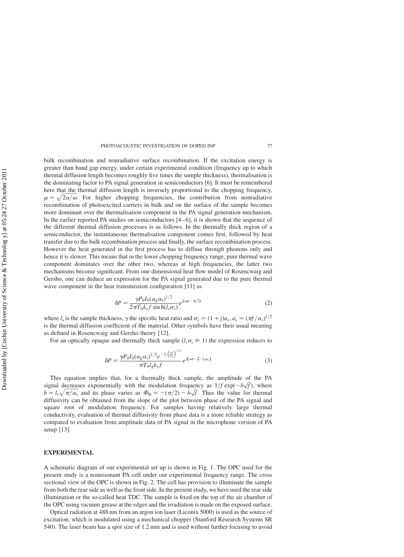#### PHOTOACOUSTIC INVESTIGATION OF DOPED INP 77

bulk recombination and nonradiative surface recombination. If the excitation energy is greater than band gap energy, under certain experimental condition (frequency up to which thermal diffusion length becomes roughly five times the sample thickness), thermalisation is the dominating factor to PA signal generation in semiconductors [6]. It must be remembered here that the thermal diffusion length is inversely proportional to the chopping frequency,  $\mu = \sqrt{2\alpha/\omega}$ . For higher chopping frequencies, the contribution from nonradiative recombination of photoexcited carriers in bulk and on the surface of the sample becomes more dominant over the thermalisation component in the PA signal generation mechanism. In the earlier reported PA studies on semiconductors  $[4-6]$ , it is shown that the sequence of the different thermal diffusion processes is as follows. In the thermally thick region of a semiconductor, the instantaneous thermalisation component comes first, followed by heat transfer due to the bulk recombination process and finally, the surface recombination process. However the heat generated in the first process has to diffuse through phonons only and hence it is slower. This means that in the lower chopping frequency range, pure thermal wave component dominates over the other two, whereas at high frequencies, the latter two mechanisms become significant. From one dimensional heat flow model of Rosencwaig and Gersho, one can deduce an expression for the PA signal generated due to the pure thermal wave component in the heat transmission configuration [11] as

$$
\delta P = \frac{\gamma P_0 I_0 (\alpha_g \alpha_s)^{1/2}}{2\pi T_0 k_s f \sin h (l_s \sigma_s)} e^{j(\omega t - \pi/2)}
$$
(2)

where  $l_s$  is the sample thickness,  $\gamma$  the specific heat ratio and  $\sigma_s = (1 + j)a_s$ ,  $a_s = (\pi f/\alpha_s)^{1/2}$ is the thermal diffusion coefficient of the material. Other symbols have their usual meaning as defined in Rosencwaig and Gersho theory [12].

For an optically opaque and thermally thick sample  $(l_s \sigma_s \ge 1)$  the expression reduces to

$$
\delta P = \frac{\gamma P_0 I_0 (\alpha_{\rm g} \alpha_{\rm s})^{1/2} e^{-l_s \left(\frac{\pi f}{\alpha_{\rm s}}\right)^{1/2}}}{\pi T_0 l_{\rm g} k_{\rm s} f} e^{j \left(\omega t - \frac{\pi}{2} - l_{\rm s} a_{\rm s}\right)} \tag{3}
$$

This equation implies that, for a thermally thick sample, the amplitude of the PA This equation implies that, for a thermally thick sample, the amplitude of the PA<br>signal decreases exponentially with the modulation frequency as  $1/f \exp(-b\sqrt{f})$ , where signal decreases exponentially with the modulation frequency as  $1/f \exp(-b\sqrt{f})$ , where  $b = l_s \sqrt{\pi/\alpha_s}$  and its phase varies as  $\Phi_{\text{th}} = -(\pi/2) - b\sqrt{f}$ . Thus the value for thermal diffusivity can be obtained from the slope of the plot between phase of the PA signal and square root of modulation frequency. For samples having relatively large thermal conductivity, evaluation of thermal diffusivity from phase data is a more reliable strategy as compared to evaluation from amplitude data of PA signal in the microphone version of PA setup [13].

#### EXPERIMENTAL

A schematic diagram of our experimental set up is shown in Fig. 1. The OPC used for the present study is a nonresonant PA cell under our experimental frequency range. The cross sectional view of the OPC is shown in Fig. 2. The cell has provision to illuminate the sample from both the rear side as well as the front side. In the present study, we have used the rear side illumination or the so-called heat TDC. The sample is fixed on the top of the air chamber of the OPC using vacuum grease at the edges and the irradiation is made on the exposed surface.

Optical radiation at 488 nm from an argon ion laser (Liconix 5000) is used as the source of excitation, which is modulated using a mechanical chopper (Stanford Research Systems SR 540). The laser beam has a spot size of 1.2 mm and is used without further focusing to avoid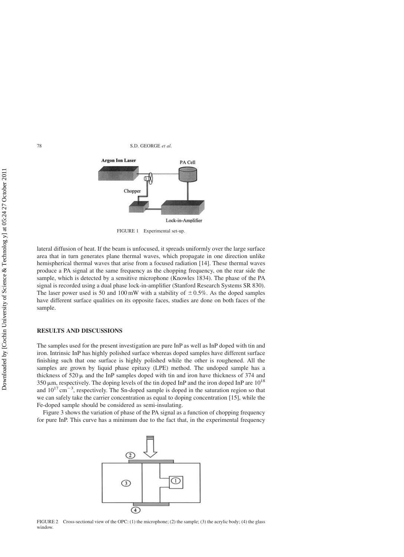78 S.D. GEORGE et al. **Argon Ion Laser** PA Cell Ф Chopper

Lock-in-Amplifier FIGURE 1 Experimental set-up.

lateral diffusion of heat. If the beam is unfocused, it spreads uniformly over the large surface area that in turn generates plane thermal waves, which propagate in one direction unlike hemispherical thermal waves that arise from a focused radiation [14]. These thermal waves produce a PA signal at the same frequency as the chopping frequency, on the rear side the sample, which is detected by a sensitive microphone (Knowles 1834). The phase of the PA signal is recorded using a dual phase lock-in-amplifier (Stanford Research Systems SR 830). The laser power used is 50 and 100 mW with a stability of  $\pm 0.5\%$ . As the doped samples have different surface qualities on its opposite faces, studies are done on both faces of the sample.

### RESULTS AND DISCUSSIONS

The samples used for the present investigation are pure InP as well as InP doped with tin and iron. Intrinsic InP has highly polished surface whereas doped samples have different surface finishing such that one surface is highly polished while the other is roughened. All the samples are grown by liquid phase epitaxy (LPE) method. The undoped sample has a thickness of  $520 \mu$  and the InP samples doped with tin and iron have thickness of 374 and 350  $\mu$ m, respectively. The doping levels of the tin doped InP and the iron doped InP are  $10^{18}$ and  $10^{17}$  cm<sup> $-3$ </sup>, respectively. The Sn-doped sample is doped in the saturation region so that we can safely take the carrier concentration as equal to doping concentration [15], while the Fe-doped sample should be considered as semi-insulating.

Figure 3 shows the variation of phase of the PA signal as a function of chopping frequency for pure InP. This curve has a minimum due to the fact that, in the experimental frequency



FIGURE 2 Cross-sectional view of the OPC: (1) the microphone; (2) the sample; (3) the acrylic body; (4) the glass window.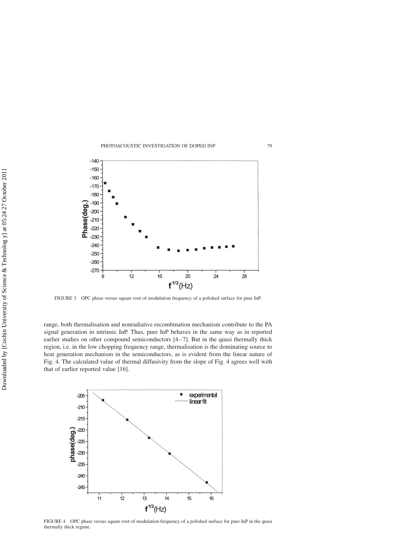#### PHOTOACOUSTIC INVESTIGATION OF DOPED INP 79



FIGURE 3 OPC phase versus square root of modulation frequency of a polished surface for pure InP.

range, both thermalisation and nonradiative recombination mechanism contribute to the PA signal generation in intrinsic InP. Thus, pure InP behaves in the same way as in reported earlier studies on other compound semiconductors  $[4-7]$ . But in the quasi thermally thick region, i.e. in the low chopping frequency range, thermalisation is the dominating source to heat generation mechanism in the semiconductors, as is evident from the linear nature of Fig. 4. The calculated value of thermal diffusivity from the slope of Fig. 4 agrees well with that of earlier reported value [16].



FIGURE 4 OPC phase versus square root of modulation frequency of a polished surface for pure InP in the quasi thermally thick regime.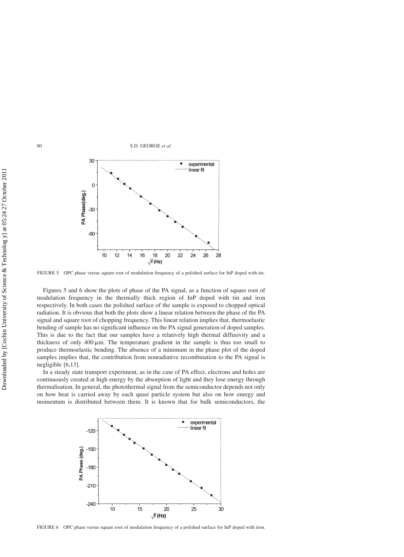



FIGURE 5 OPC phase versus square root of modulation frequency of a polished surface for InP doped with tin.

Figures 5 and 6 show the plots of phase of the PA signal, as a function of square root of modulation frequency in the thermally thick region of InP doped with tin and iron respectively. In both cases the polished surface of the sample is exposed to chopped optical radiation. It is obvious that both the plots show a linear relation between the phase of the PA signal and square root of chopping frequency. This linear relation implies that, thermoelastic bending of sample has no significant influence on the PA signal generation of doped samples. This is due to the fact that our samples have a relatively high thermal diffusivity and a thickness of only  $400 \mu m$ . The temperature gradient in the sample is thus too small to produce thermoelastic bending. The absence of a minimum in the phase plot of the doped samples implies that, the contribution from nonradiative recombination to the PA signal is negligible [6,13].

In a steady state transport experiment, as in the case of PA effect, electrons and holes are continuously created at high energy by the absorption of light and they lose energy through thermalisation. In general, the photothermal signal from the semiconductor depends not only on how heat is carried away by each quasi particle system but also on how energy and momentum is distributed between them. It is known that for bulk semiconductors, the



FIGURE 6 OPC phase versus square root of modulation frequency of a polished surface for InP doped with iron.

30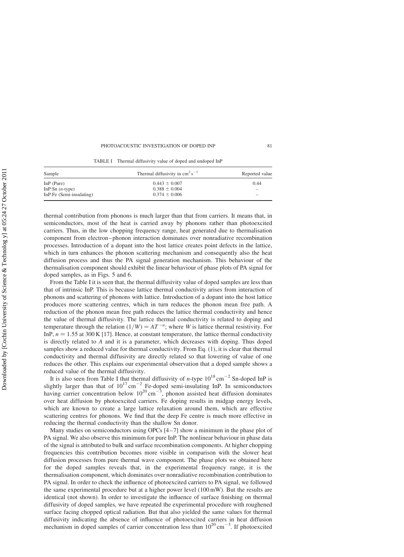# PHOTOACOUSTIC INVESTIGATION OF DOPED INP 81

TABLE I Thermal diffusivity value of doped and undoped InP

| Sample                   | Thermal diffusivity in $\text{cm}^2\text{ s}^{-1}$ | Reported value    |
|--------------------------|----------------------------------------------------|-------------------|
| $InP$ (Pure)             | $0.443 \pm 0.007$                                  | 0.44              |
| In P:Sn $(n$ -type)      | $0.388 \pm 0.004$                                  | $\hspace{0.05cm}$ |
| InP:Fe (Semi-insulating) | $0.374 \pm 0.006$                                  |                   |

thermal contribution from phonons is much larger than that from carriers. It means that, in semiconductors, most of the heat is carried away by phonons rather than photoexcited carriers. Thus, in the low chopping frequency range, heat generated due to thermalisation component from electron–phonon interaction dominates over nonradiative recombination processes. Introduction of a dopant into the host lattice creates point defects in the lattice, which in turn enhances the phonon scattering mechanism and consequently also the heat diffusion process and thus the PA signal generation mechanism. This behaviour of the thermalisation component should exhibit the linear behaviour of phase plots of PA signal for doped samples, as in Figs. 5 and 6.

From the Table I it is seen that, the thermal diffusivity value of doped samples are less than that of intrinsic InP. This is because lattice thermal conductivity arises from interaction of phonons and scattering of phonons with lattice. Introduction of a dopant into the host lattice produces more scattering centres, which in turn reduces the phonon mean free path. A reduction of the phonon mean free path reduces the lattice thermal conductivity and hence the value of thermal diffusivity. The lattice thermal conductivity is related to doping and temperature through the relation  $(1/W) = AT^{-n}$ ; where W is lattice thermal resistivity. For InP,  $n = 1.55$  at 300 K [17]. Hence, at constant temperature, the lattice thermal conductivity is directly related to A and it is a parameter, which decreases with doping. Thus doped samples show a reduced value for thermal conductivity. From Eq. (1), it is clear that thermal conductivity and thermal diffusivity are directly related so that lowering of value of one reduces the other. This explains our experimental observation that a doped sample shows a reduced value of the thermal diffusivity.

It is also seen from Table I that thermal diffusivity of *n*-type  $10^{18}$  cm<sup>-2</sup> Sn-doped InP is slightly larger than that of  $10^{17}$  cm<sup>-2</sup> Fe-doped semi-insulating InP. In semiconductors having carrier concentration below  $10^{20}$  cm<sup>-3</sup>, phonon assisted heat diffusion dominates over heat diffusion by photoexcited carriers. Fe doping results in midgap energy levels, which are known to create a large lattice relaxation around them, which are effective scattering centres for phonons. We find that the deep Fe centre is much more effective in reducing the thermal conductivity than the shallow Sn donor.

Many studies on semiconductors using OPCs [4–7] show a minimum in the phase plot of PA signal. We also observe this minimum for pure InP. The nonlinear behaviour in phase data of the signal is attributed to bulk and surface recombination components. At higher chopping frequencies this contribution becomes more visible in comparison with the slower heat diffusion processes from pure thermal wave component. The phase plots we obtained here for the doped samples reveals that, in the experimental frequency range, it is the thermalisation component, which dominates over nonradiative recombination contribution to PA signal. In order to check the influence of photoexcited carriers to PA signal, we followed the same experimental procedure but at a higher power level (100 mW). But the results are identical (not shown). In order to investigate the influence of surface finishing on thermal diffusivity of doped samples, we have repeated the experimental procedure with roughened surface facing chopped optical radiation. But that also yielded the same values for thermal diffusivity indicating the absence of influence of photoexcited carriers in heat diffusion mechanism in doped samples of carrier concentration less than  $10^{20}$  cm<sup>-3</sup>. If photoexcited